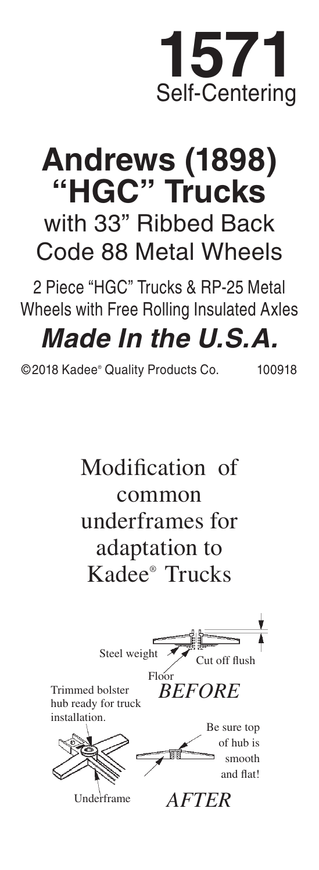## **1571** Self-Centering

## **Andrews (1898) "HGC" Trucks** with 33" Ribbed Back Code 88 Metal Wheels

2 Piece "HGC" Trucks & RP-25 Metal Wheels with Free Rolling Insulated Axles

## *Made In the U.S.A.*

©2018 Kadee® Quality Products Co. 100918

Modification of common underframes for adaptation to Kadee® Trucks